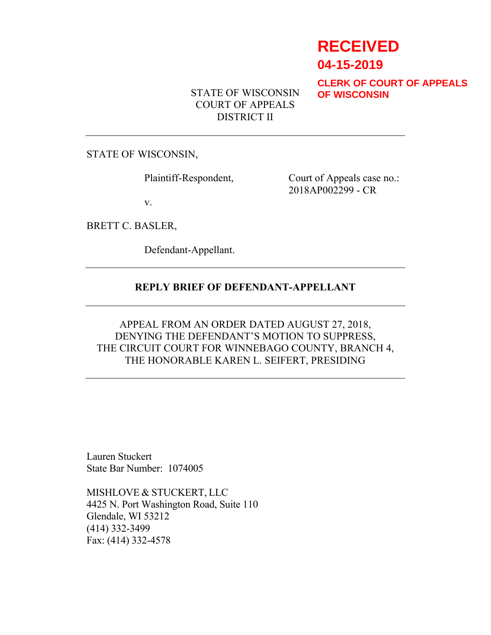# **RECEIVED**

**04-15-2019**

**CLERK OF COURT OF APPEALS OF WISCONSIN**

STATE OF WISCONSIN COURT OF APPEALS DISTRICT II

STATE OF WISCONSIN,

Plaintiff-Respondent, Court of Appeals case no.: 2018AP002299 - CR

v.

BRETT C. BASLER,

Defendant-Appellant.

## **REPLY BRIEF OF DEFENDANT-APPELLANT**

# APPEAL FROM AN ORDER DATED AUGUST 27, 2018, DENYING THE DEFENDANT'S MOTION TO SUPPRESS, THE CIRCUIT COURT FOR WINNEBAGO COUNTY, BRANCH 4, THE HONORABLE KAREN L. SEIFERT, PRESIDING

Lauren Stuckert State Bar Number: 1074005

MISHLOVE & STUCKERT, LLC 4425 N. Port Washington Road, Suite 110 Glendale, WI 53212 (414) 332-3499 Fax: (414) 332-4578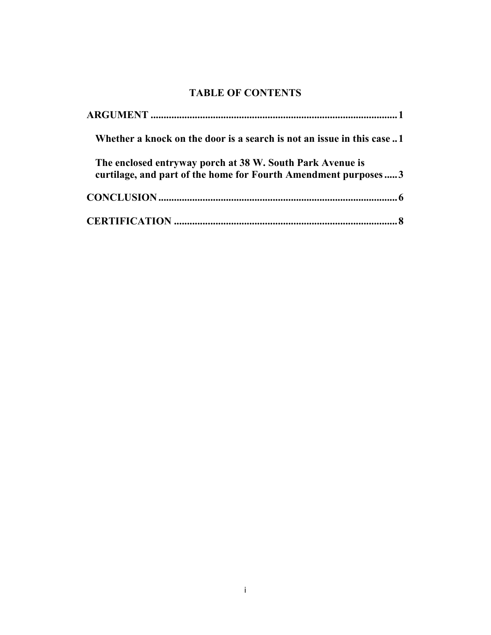# **TABLE OF CONTENTS**

| Whether a knock on the door is a search is not an issue in this case1                                                       |
|-----------------------------------------------------------------------------------------------------------------------------|
| The enclosed entryway porch at 38 W. South Park Avenue is<br>curtilage, and part of the home for Fourth Amendment purposes3 |
|                                                                                                                             |
|                                                                                                                             |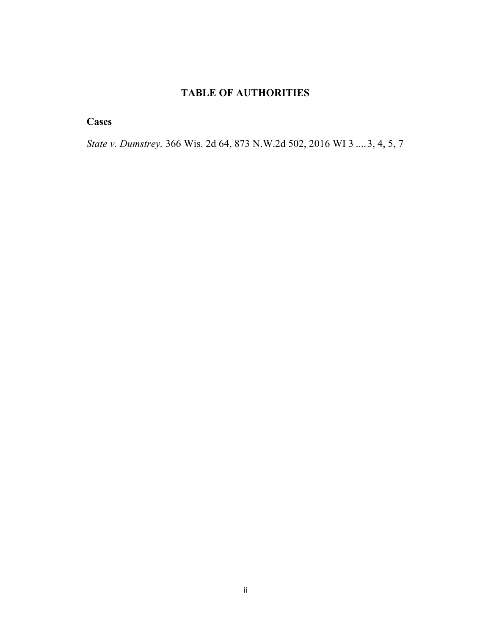# **TABLE OF AUTHORITIES**

**Cases**

*State v. Dumstrey,* 366 Wis. 2d 64, 873 N.W.2d 502, 2016 WI 3 ....3, 4, 5, 7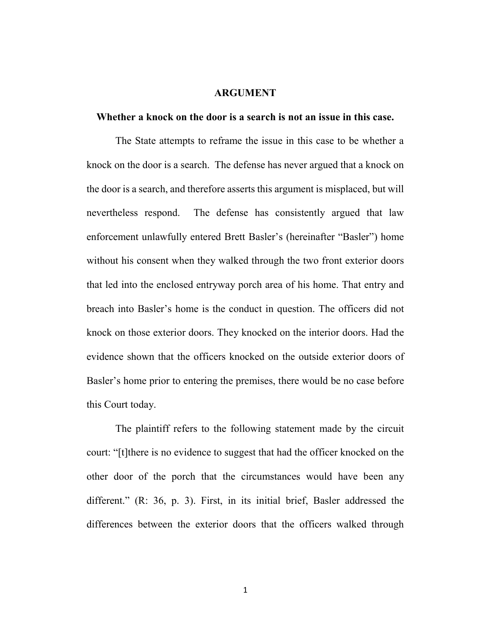#### <span id="page-3-1"></span><span id="page-3-0"></span>**ARGUMENT**

#### **Whether a knock on the door is a search is not an issue in this case.**

The State attempts to reframe the issue in this case to be whether a knock on the door is a search. The defense has never argued that a knock on the door is a search, and therefore asserts this argument is misplaced, but will nevertheless respond. The defense has consistently argued that law enforcement unlawfully entered Brett Basler's (hereinafter "Basler") home without his consent when they walked through the two front exterior doors that led into the enclosed entryway porch area of his home. That entry and breach into Basler's home is the conduct in question. The officers did not knock on those exterior doors. They knocked on the interior doors. Had the evidence shown that the officers knocked on the outside exterior doors of Basler's home prior to entering the premises, there would be no case before this Court today.

The plaintiff refers to the following statement made by the circuit court: "[t]there is no evidence to suggest that had the officer knocked on the other door of the porch that the circumstances would have been any different." (R: 36, p. 3). First, in its initial brief, Basler addressed the differences between the exterior doors that the officers walked through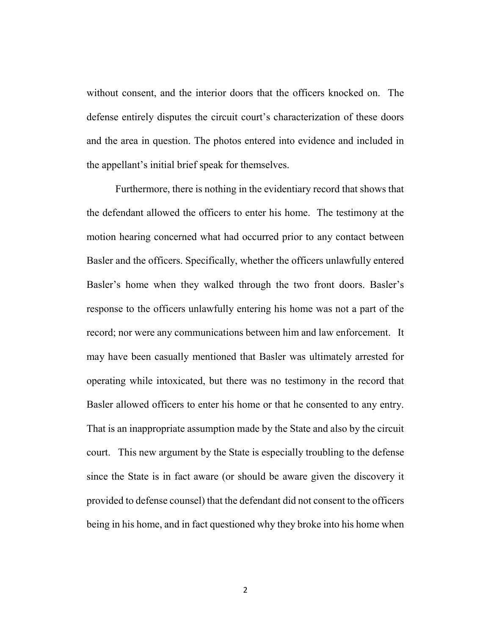without consent, and the interior doors that the officers knocked on. The defense entirely disputes the circuit court's characterization of these doors and the area in question. The photos entered into evidence and included in the appellant's initial brief speak for themselves.

Furthermore, there is nothing in the evidentiary record that shows that the defendant allowed the officers to enter his home. The testimony at the motion hearing concerned what had occurred prior to any contact between Basler and the officers. Specifically, whether the officers unlawfully entered Basler's home when they walked through the two front doors. Basler's response to the officers unlawfully entering his home was not a part of the record; nor were any communications between him and law enforcement. It may have been casually mentioned that Basler was ultimately arrested for operating while intoxicated, but there was no testimony in the record that Basler allowed officers to enter his home or that he consented to any entry. That is an inappropriate assumption made by the State and also by the circuit court. This new argument by the State is especially troubling to the defense since the State is in fact aware (or should be aware given the discovery it provided to defense counsel) that the defendant did not consent to the officers being in his home, and in fact questioned why they broke into his home when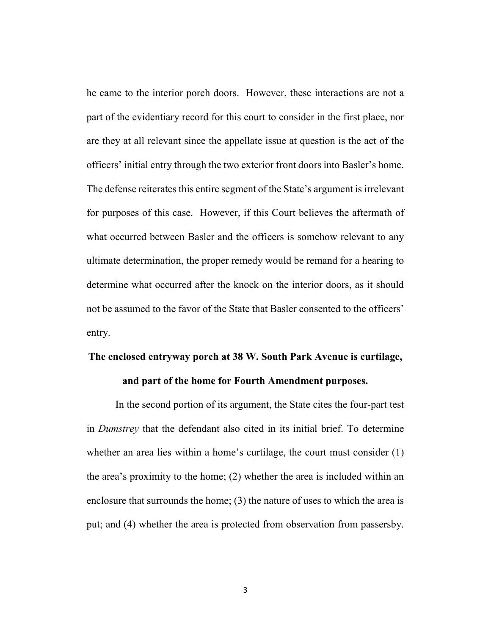he came to the interior porch doors. However, these interactions are not a part of the evidentiary record for this court to consider in the first place, nor are they at all relevant since the appellate issue at question is the act of the officers' initial entry through the two exterior front doors into Basler's home. The defense reiterates this entire segment of the State's argument is irrelevant for purposes of this case. However, if this Court believes the aftermath of what occurred between Basler and the officers is somehow relevant to any ultimate determination, the proper remedy would be remand for a hearing to determine what occurred after the knock on the interior doors, as it should not be assumed to the favor of the State that Basler consented to the officers' entry.

# <span id="page-5-0"></span>**The enclosed entryway porch at 38 W. South Park Avenue is curtilage, and part of the home for Fourth Amendment purposes.**

In the second portion of its argument, the State cites the four-part test in *Dumstrey* that the defendant also cited in its initial brief. To determine whether an area lies within a home's curtilage, the court must consider (1) the area's proximity to the home; (2) whether the area is included within an enclosure that surrounds the home; (3) the nature of uses to which the area is put; and (4) whether the area is protected from observation from passersby.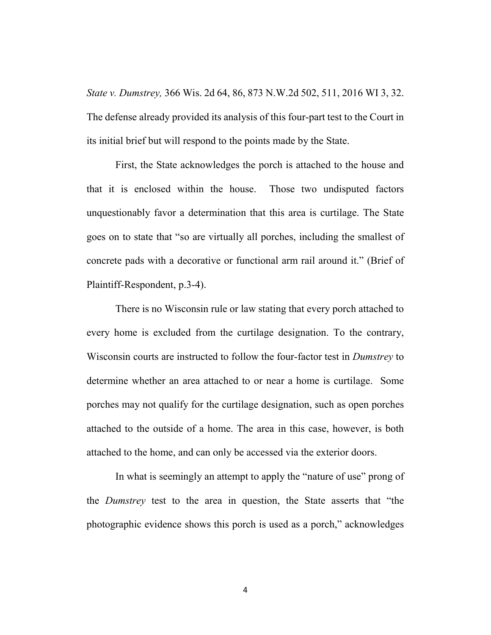*State v. Dumstrey,* 366 Wis. 2d 64, 86, 873 N.W.2d 502, 511, 2016 WI 3, 32. The defense already provided its analysis of this four-part test to the Court in its initial brief but will respond to the points made by the State.

First, the State acknowledges the porch is attached to the house and that it is enclosed within the house. Those two undisputed factors unquestionably favor a determination that this area is curtilage. The State goes on to state that "so are virtually all porches, including the smallest of concrete pads with a decorative or functional arm rail around it." (Brief of Plaintiff-Respondent, p.3-4).

There is no Wisconsin rule or law stating that every porch attached to every home is excluded from the curtilage designation. To the contrary, Wisconsin courts are instructed to follow the four-factor test in *Dumstrey* to determine whether an area attached to or near a home is curtilage. Some porches may not qualify for the curtilage designation, such as open porches attached to the outside of a home. The area in this case, however, is both attached to the home, and can only be accessed via the exterior doors.

In what is seemingly an attempt to apply the "nature of use" prong of the *Dumstrey* test to the area in question, the State asserts that "the photographic evidence shows this porch is used as a porch," acknowledges

4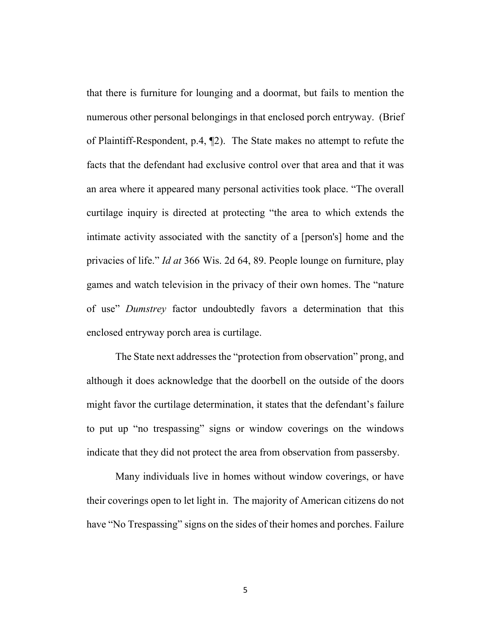that there is furniture for lounging and a doormat, but fails to mention the numerous other personal belongings in that enclosed porch entryway. (Brief of Plaintiff-Respondent, p.4, ¶2). The State makes no attempt to refute the facts that the defendant had exclusive control over that area and that it was an area where it appeared many personal activities took place. "The overall curtilage inquiry is directed at protecting "the area to which extends the intimate activity associated with the sanctity of a [person's] home and the privacies of life." *Id at* 366 Wis. 2d 64, 89. People lounge on furniture, play games and watch television in the privacy of their own homes. The "nature of use" *Dumstrey* factor undoubtedly favors a determination that this enclosed entryway porch area is curtilage.

The State next addresses the "protection from observation" prong, and although it does acknowledge that the doorbell on the outside of the doors might favor the curtilage determination, it states that the defendant's failure to put up "no trespassing" signs or window coverings on the windows indicate that they did not protect the area from observation from passersby.

Many individuals live in homes without window coverings, or have their coverings open to let light in. The majority of American citizens do not have "No Trespassing" signs on the sides of their homes and porches. Failure

5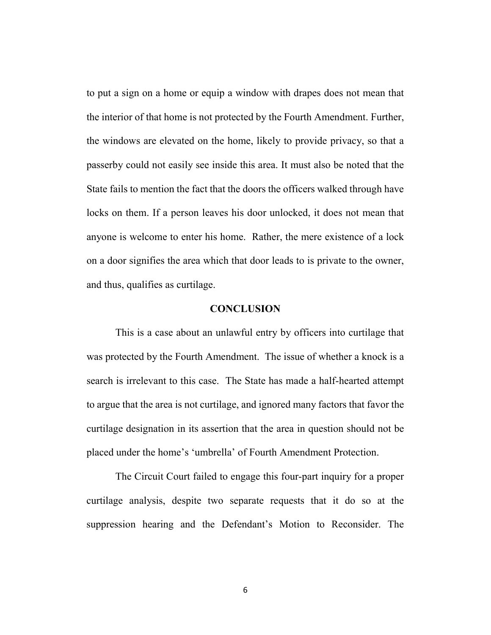to put a sign on a home or equip a window with drapes does not mean that the interior of that home is not protected by the Fourth Amendment. Further, the windows are elevated on the home, likely to provide privacy, so that a passerby could not easily see inside this area. It must also be noted that the State fails to mention the fact that the doors the officers walked through have locks on them. If a person leaves his door unlocked, it does not mean that anyone is welcome to enter his home. Rather, the mere existence of a lock on a door signifies the area which that door leads to is private to the owner, and thus, qualifies as curtilage.

#### <span id="page-8-0"></span>**CONCLUSION**

This is a case about an unlawful entry by officers into curtilage that was protected by the Fourth Amendment. The issue of whether a knock is a search is irrelevant to this case. The State has made a half-hearted attempt to argue that the area is not curtilage, and ignored many factors that favor the curtilage designation in its assertion that the area in question should not be placed under the home's 'umbrella' of Fourth Amendment Protection.

The Circuit Court failed to engage this four-part inquiry for a proper curtilage analysis, despite two separate requests that it do so at the suppression hearing and the Defendant's Motion to Reconsider. The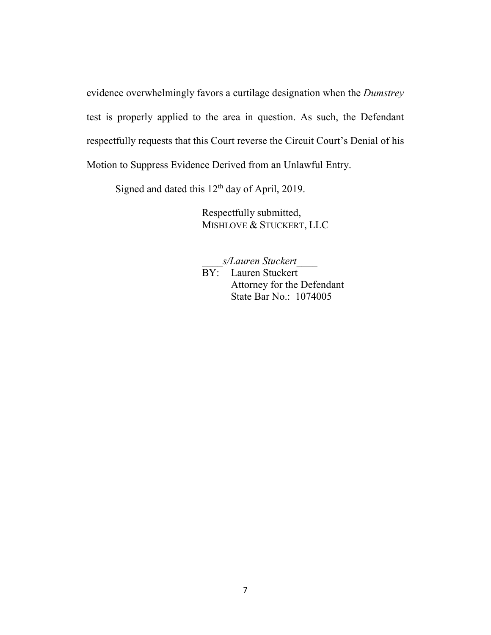evidence overwhelmingly favors a curtilage designation when the *Dumstrey* test is properly applied to the area in question. As such, the Defendant respectfully requests that this Court reverse the Circuit Court's Denial of his Motion to Suppress Evidence Derived from an Unlawful Entry.

Signed and dated this 12<sup>th</sup> day of April, 2019.

Respectfully submitted, MISHLOVE & STUCKERT, LLC

\_\_\_\_*s/Lauren Stuckert*\_\_\_\_ BY: Lauren Stuckert Attorney for the Defendant State Bar No.: 1074005